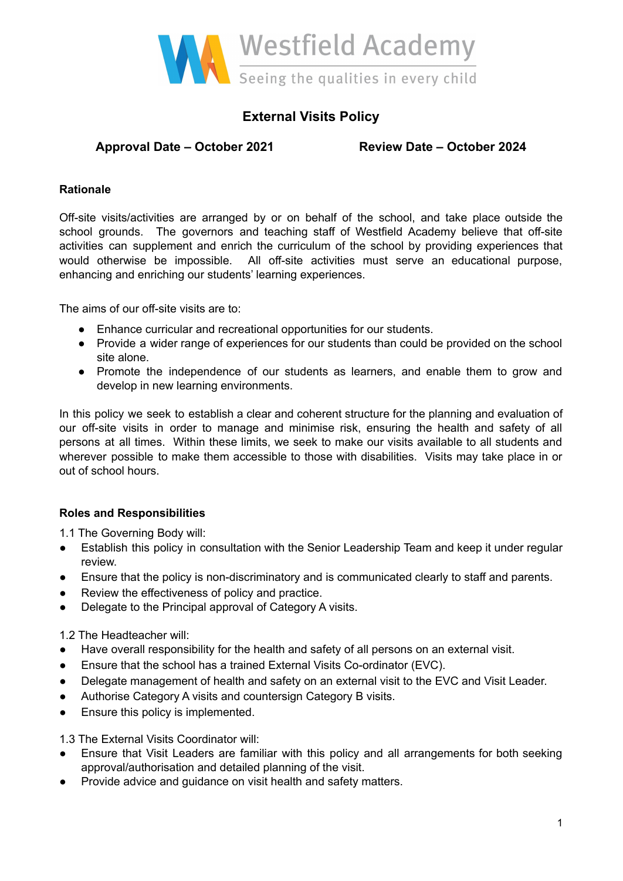

# **External Visits Policy**

# **Approval Date – October 2021 Review Date – October 2024**

### **Rationale**

Off-site visits/activities are arranged by or on behalf of the school, and take place outside the school grounds. The governors and teaching staff of Westfield Academy believe that off-site activities can supplement and enrich the curriculum of the school by providing experiences that would otherwise be impossible. All off-site activities must serve an educational purpose, enhancing and enriching our students' learning experiences.

The aims of our off-site visits are to:

- Enhance curricular and recreational opportunities for our students.
- Provide a wider range of experiences for our students than could be provided on the school site alone.
- Promote the independence of our students as learners, and enable them to grow and develop in new learning environments.

In this policy we seek to establish a clear and coherent structure for the planning and evaluation of our off-site visits in order to manage and minimise risk, ensuring the health and safety of all persons at all times. Within these limits, we seek to make our visits available to all students and wherever possible to make them accessible to those with disabilities. Visits may take place in or out of school hours.

## **Roles and Responsibilities**

1.1 The Governing Body will:

- Establish this policy in consultation with the Senior Leadership Team and keep it under regular review.
- Ensure that the policy is non-discriminatory and is communicated clearly to staff and parents.
- Review the effectiveness of policy and practice.
- Delegate to the Principal approval of Category A visits.

1.2 The Headteacher will:

- Have overall responsibility for the health and safety of all persons on an external visit.
- Ensure that the school has a trained External Visits Co-ordinator (EVC).
- Delegate management of health and safety on an external visit to the EVC and Visit Leader.
- Authorise Category A visits and countersign Category B visits.
- Ensure this policy is implemented.

1.3 The External Visits Coordinator will:

- Ensure that Visit Leaders are familiar with this policy and all arrangements for both seeking approval/authorisation and detailed planning of the visit.
- Provide advice and guidance on visit health and safety matters.